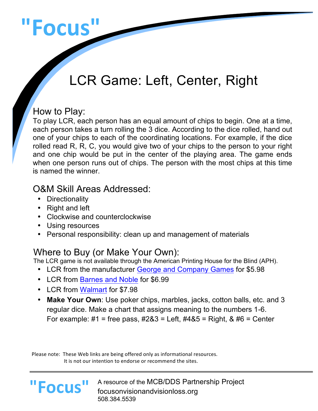# **"Focus"**

## LCR Game: Left, Center, Right

#### How to Play:

To play LCR, each person has an equal amount of chips to begin. One at a time, each person takes a turn rolling the 3 dice. According to the dice rolled, hand out one of your chips to each of the coordinating locations. For example, if the dice rolled read R, R, C, you would give two of your chips to the person to your right and one chip would be put in the center of the playing area. The game ends when one person runs out of chips. The person with the most chips at this time is named the winner.

#### O&M Skill Areas Addressed:

- Directionality
- Right and left
- Clockwise and counterclockwise
- Using resources
- Personal responsibility: clean up and management of materials

Where to Buy (or Make Your Own):<br>The LCR game is not available through the American Printing House for the Blind (APH).

- LCR from the manufacturer George and Company Games for \$5.98
- LCR from Barnes and Noble for \$6.99
- LCR from Walmart for \$7.98
- **Make Your Own**: Use poker chips, marbles, jacks, cotton balls, etc. and 3 regular dice. Make a chart that assigns meaning to the numbers 1-6. For example: #1 = free pass, #2&3 = Left, #4&5 = Right, & #6 = Center

Please note: These Web links are being offered only as informational resources. It is not our intention to endorse or recommend the sites.

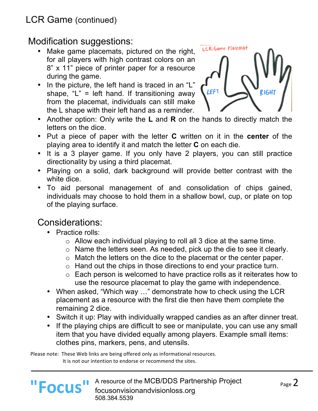### LCR Game (continued)

#### Modification suggestions:

- Make game placemats, pictured on the right, for all players with high contrast colors on an 8" x 11" piece of printer paper for a resource during the game.
- In the picture, the left hand is traced in an "L" shape,  $L'' =$  left hand. If transitioning away from the placemat, individuals can still make the L shape with their left hand as a reminder.



- Another option: Only write the **L** and **R** on the hands to directly match the letters on the dice.
- Put a piece of paper with the letter **C** written on it in the **center** of the playing area to identify it and match the letter **C** on each die.
- It is a 3 player game. If you only have 2 players, you can still practice directionality by using a third placemat.
- Playing on a solid, dark background will provide better contrast with the white dice.
- To aid personal management of and consolidation of chips gained, individuals may choose to hold them in a shallow bowl, cup, or plate on top of the playing surface.

#### Considerations:

**"Focus"**

- Practice rolls:
	- $\circ$  Allow each individual playing to roll all 3 dice at the same time.
	- o Name the letters seen. As needed, pick up the die to see it clearly.
	- o Match the letters on the dice to the placemat or the center paper.
	- o Hand out the chips in those directions to end your practice turn.
	- o Each person is welcomed to have practice rolls as it reiterates how to use the resource placemat to play the game with independence.
- When asked, "Which way …" demonstrate how to check using the LCR placement as a resource with the first die then have them complete the remaining 2 dice.
- Switch it up: Play with individually wrapped candies as an after dinner treat.
- If the playing chips are difficult to see or manipulate, you can use any small item that you have divided equally among players. Example small items: clothes pins, markers, pens, and utensils.

Please note: These Web links are being offered only as informational resources. It is not our intention to endorse or recommend the sites.



L